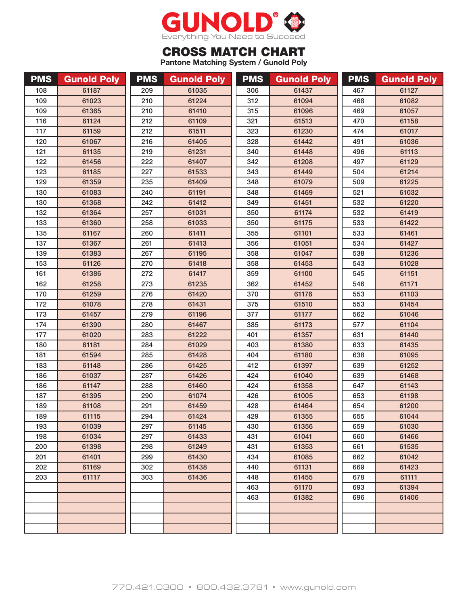

## CROSS MATCH CHART

**Pantone Matching System / Gunold Poly**

| <b>PMS</b> | <b>Gunold Poly</b> | <b>PMS</b> | <b>Gunold Poly</b> | <b>PMS</b> | <b>Gunold Poly</b> | <b>PMS</b> | <b>Gunold Poly</b> |
|------------|--------------------|------------|--------------------|------------|--------------------|------------|--------------------|
| 108        | 61187              | 209        | 61035              | 306        | 61437              | 467        | 61127              |
| 109        | 61023              | 210        | 61224              | 312        | 61094              | 468        | 61082              |
| 109        | 61365              | 210        | 61410              | 315        | 61096              | 469        | 61057              |
| 116        | 61124              | 212        | 61109              | 321        | 61513              | 470        | 61158              |
| 117        | 61159              | 212        | 61511              | 323        | 61230              | 474        | 61017              |
| 120        | 61067              | 216        | 61405              | 328        | 61442              | 491        | 61036              |
| 121        | 61135              | 219        | 61231              | 340        | 61448              | 496        | 61113              |
| 122        | 61456              | 222        | 61407              | 342        | 61208              | 497        | 61129              |
| 123        | 61185              | 227        | 61533              | 343        | 61449              | 504        | 61214              |
| 129        | 61359              | 235        | 61409              | 348        | 61079              | 509        | 61225              |
| 130        | 61083              | 240        | 61191              | 348        | 61469              | 521        | 61032              |
| 130        | 61368              | 242        | 61412              | 349        | 61451              | 532        | 61220              |
| 132        | 61364              | 257        | 61031              | 350        | 61174              | 532        | 61419              |
| 133        | 61360              | 258        | 61033              | 350        | 61175              | 533        | 61422              |
| 135        | 61167              | 260        | 61411              | 355        | 61101              | 533        | 61461              |
| 137        | 61367              | 261        | 61413              | 356        | 61051              | 534        | 61427              |
| 139        | 61383              | 267        | 61195              | 358        | 61047              | 538        | 61236              |
| 153        | 61126              | 270        | 61418              | 358        | 61453              | 543        | 61028              |
| 161        | 61386              | 272        | 61417              | 359        | 61100              | 545        | 61151              |
| 162        | 61258              | 273        | 61235              | 362        | 61452              | 546        | 61171              |
| 170        | 61259              | 276        | 61420              | 370        | 61176              | 553        | 61103              |
| 172        | 61078              | 278        | 61431              | 375        | 61510              | 553        | 61454              |
| 173        | 61457              | 279        | 61196              | 377        | 61177              | 562        | 61046              |
| 174        | 61390              | 280        | 61467              | 385        | 61173              | 577        | 61104              |
| 177        | 61020              | 283        | 61222              | 401        | 61357              | 631        | 61440              |
| 180        | 61181              | 284        | 61029              | 403        | 61380              | 633        | 61435              |
| 181        | 61594              | 285        | 61428              | 404        | 61180              | 638        | 61095              |
| 183        | 61148              | 286        | 61425              | 412        | 61397              | 639        | 61252              |
| 186        | 61037              | 287        | 61426              | 424        | 61040              | 639        | 61468              |
| 186        | 61147              | 288        | 61460              | 424        | 61358              | 647        | 61143              |
| 187        | 61395              | 290        | 61074              | 426        | 61005              | 653        | 61198              |
| 189        | 61108              | 291        | 61459              | 428        | 61464              | 654        | 61200              |
| 189        | 61115              | 294        | 61424              | 429        | 61355              | 655        | 61044              |
| 193        | 61039              | 297        | 61145              | 430        | 61356              | 659        | 61030              |
| 198        | 61034              | 297        | 61433              | 431        | 61041              | 660        | 61466              |
| 200        | 61398              | 298        | 61249              | 431        | 61353              | 661        | 61535              |
| 201        | 61401              | 299        | 61430              | 434        | 61085              | 662        | 61042              |
| 202        | 61169              | 302        | 61438              | 440        | 61131              | 669        | 61423              |
| 203        | 61117              | 303        | 61436              | 448        | 61455              | 678        | 61111              |
|            |                    |            |                    | 463        | 61170              | 693        | 61394              |
|            |                    |            |                    | 463        | 61382              | 696        | 61406              |
|            |                    |            |                    |            |                    |            |                    |
|            |                    |            |                    |            |                    |            |                    |
|            |                    |            |                    |            |                    |            |                    |